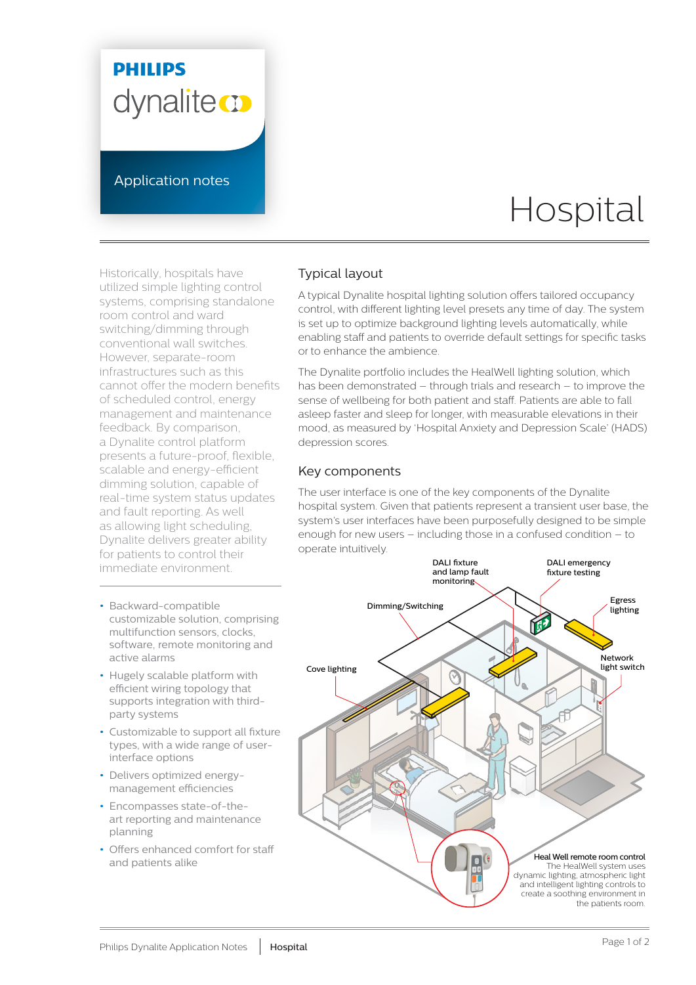## **PHILIPS** dynalite<sup>cy</sup>

Application notes

# Hospital

Historically, hospitals have utilized simple lighting control systems, comprising standalone room control and ward switching/dimming through conventional wall switches. However, separate-room infrastructures such as this cannot offer the modern benefits of scheduled control, energy management and maintenance feedback. By comparison, a Dynalite control platform presents a future-proof, flexible, scalable and energy-efficient dimming solution, capable of real-time system status updates and fault reporting. As well as allowing light scheduling, Dynalite delivers greater ability for patients to control their immediate environment.

- **•** Backward-compatible customizable solution, comprising multifunction sensors, clocks, software, remote monitoring and active alarms
- **•** Hugely scalable platform with efficient wiring topology that supports integration with thirdparty systems
- **•** Customizable to support all fixture types, with a wide range of userinterface options
- **•** Delivers optimized energymanagement efficiencies
- **•** Encompasses state-of-theart reporting and maintenance planning
- **•** Offers enhanced comfort for staff and patients alike

#### Typical layout

A typical Dynalite hospital lighting solution offers tailored occupancy control, with different lighting level presets any time of day. The system is set up to optimize background lighting levels automatically, while enabling staff and patients to override default settings for specific tasks or to enhance the ambience.

The Dynalite portfolio includes the HealWell lighting solution, which has been demonstrated – through trials and research – to improve the sense of wellbeing for both patient and staff. Patients are able to fall asleep faster and sleep for longer, with measurable elevations in their mood, as measured by 'Hospital Anxiety and Depression Scale' (HADS) depression scores.

#### Key components

The user interface is one of the key components of the Dynalite hospital system. Given that patients represent a transient user base, the system's user interfaces have been purposefully designed to be simple enough for new users – including those in a confused condition – to operate intuitively.